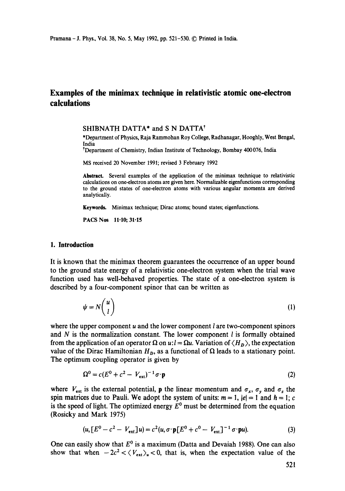# **Examples of the minimax technique in relativistic atomic one-electron calculations**

SHIBNATH DATTA<sup>\*</sup> and S N DATTA<sup>†</sup>

\*Department of Physics, Raja Rammohan Roy College, Radhanagar, Hooghly, West Bengal, India

<sup>†</sup>Department of Chemistry, Indian Institute of Technology, Bombay 400 076, India

MS received 20 November 1991; revised 3 February 1992

Abstract. Several examples of the application of the minimax technique to relativistic calculations on one-electron atoms are given here. Normalizable eigenfunctions corresponding to the ground states of one-electron atoms with various angular momenta are derived analytically.

Keywords. Minimax technique; Dirac atoms; bound states; eigenfunctions.

PACS Nos 11-10; 31.15

#### **1. Introduction**

It is known that the minimax theorem guarantees the occurrence of an upper bound to the ground state energy of a relativistic one-electron system when the trial wave function used has well-behaved properties. The state of a one-electron system is described by a four-component spinor that can be written as

$$
\psi = N \binom{u}{l} \tag{1}
$$

where the upper component  $u$  and the lower component  $l$  are two-component spinors and  $N$  is the normalization constant. The lower component  $l$  is formally obtained from the application of an operator  $\Omega$  on  $u: l = \Omega u$ . Variation of  $\langle H_D \rangle$ , the expectation value of the Dirac Hamiltonian  $H<sub>p</sub>$ , as a functional of  $\Omega$  leads to a stationary point. The optimum coupling operator is given by

$$
\Omega^0 = c(E^0 + c^2 - V_{\text{ext}})^{-1} \sigma \cdot \mathbf{p}
$$
 (2)

where  $V_{ext}$  is the external potential, **p** the linear momentum and  $\sigma_x$ ,  $\sigma_y$  and  $\sigma_z$  the spin matrices due to Pauli. We adopt the system of units:  $m = 1$ ,  $|e| = 1$  and  $h = 1$ ; c is the speed of light. The optimized energy  $E^0$  must be determined from the equation (Rosicky and Mark 1975)

$$
(u, [E0 - c2 - Vext]u) = c2(u, \sigma \cdot \mathbf{p}[E0 + c0 - Vext]-1 \sigma \cdot \mathbf{p}u).
$$
 (3)

One can easily show that  $E^0$  is a maximum (Datta and Devaiah 1988). One can also show that when  $-2c^2 < \langle V_{\text{ext}} \rangle_u < 0$ , that is, when the expectation value of the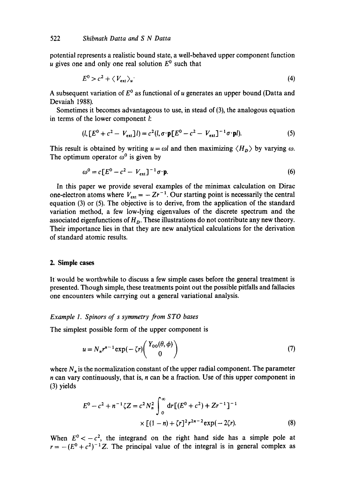potential represents a realistic bound state, a well-behaved upper component function u gives one and only one real solution  $E^0$  such that

$$
E^0 > c^2 + \langle V_{\text{ext}} \rangle_u \tag{4}
$$

A subsequent variation of  $E^0$  as functional of u generates an upper bound (Datta and Devaiah 1988).

Sometimes it becomes advantageous to use, in stead of (3), the analogous equation in terms of the lower component l:

$$
(l, [E0 + c2 - Vext]]l) = c2(l, \sigma \cdot \mathbf{p}[E0 - c2 - Vext]-1 \sigma \cdot \mathbf{p}l).
$$
 (5)

This result is obtained by writing  $u = \omega l$  and then maximizing  $\langle H_D \rangle$  by varying  $\omega$ . The optimum operator  $\omega^0$  is given by

$$
\omega^0 = c \left[ E^0 - c^2 - V_{\text{ext}} \right]^{-1} \sigma \cdot \mathbf{p}. \tag{6}
$$

In this paper we provide several examples of the minimax calculation on Dirac one-electron atoms where  $V_{ext} = -Zr^{-1}$ . Our starting point is necessarily the central equation (3) or (5). The objective is to derive, from the application of the standard variation method, a few low-lying eigenvalues of the discrete spectrum and the associated eigenfunctions of *Ho.* These illustrations do not contribute any new theory. Their importance lies in that they are new analytical calculations for the derivation of standard atomic results.

### **2. Simple cases**

It would be worthwhile to discuss a few simple cases before the general treatment is presented. Though simple, these treatments point out the possible pitfalls and fallacies one encounters while carrying out a general variational analysis.

#### *Example 1. Spinors of s symmetry from S TO bases*

The simplest possible form of the upper component is

$$
u = N_n r^{n-1} \exp(-\zeta r) \begin{pmatrix} Y_{00}(\theta, \phi) \\ 0 \end{pmatrix}
$$
 (7)

where  $N_n$  is the normalization constant of the upper radial component. The parameter  $n$  can vary continuously, that is,  $n$  can be a fraction. Use of this upper component in (3) yields

$$
E^{0} - c^{2} + n^{-1} \zeta Z = c^{2} N_{n}^{2} \int_{0}^{\infty} dr \left[ (E^{0} + c^{2}) + Zr^{-1} \right]^{-1}
$$
  
 
$$
\times \left[ (1 - n) + \zeta r \right]^{2} r^{2n-2} \exp(-2\zeta r).
$$
 (8)

When  $E^0 < -c^2$ , the integrand on the right hand side has a simple pole at  $r=-(E^0+c^2)^{-1}Z$ . The principal value of the integral is in general complex as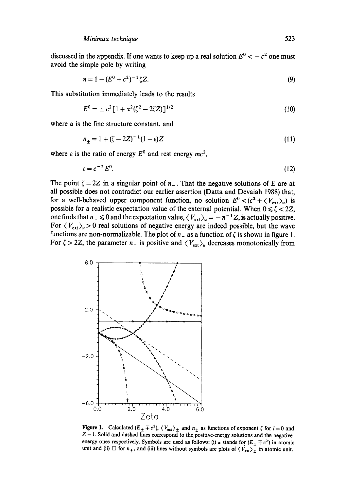discussed in the appendix. If one wants to keep up a real solution  $E^0 < -c^2$  one must avoid the simple pole by writing

$$
n = 1 - (E^0 + c^2)^{-1} \zeta Z. \tag{9}
$$

This substitution immediately leads to the results

$$
E^{0} = \pm c^{2} [1 + \alpha^{2} (\zeta^{2} - 2\zeta Z)]^{1/2}
$$
 (10)

where  $\alpha$  is the fine structure constant, and

$$
n_{+} = 1 + (\zeta - 2Z)^{-1}(1 - \varepsilon)Z
$$
\n(11)

where  $\varepsilon$  is the ratio of energy  $E^0$  and rest energy  $mc^2$ ,

$$
\varepsilon = c^{-2} E^0. \tag{12}
$$

The point  $\zeta = 2Z$  in a singular point of  $n<sub>-</sub>$ . That the negative solutions of E are at all possible does not contradict our earlier assertion (Datta and Devaiah 1988) that, for a well-behaved upper component function, no solution  $E^0 < (c^2 + \langle V_{\text{ext}} \rangle_u)$  is possible for a realistic expectation value of the external potential. When  $0 \le \zeta < 2Z$ , one finds that  $n_- \le 0$  and the expectation value,  $\langle V_{ext} \rangle_u = -n^{-1}Z$ , is actually positive. For  $\langle V_{\text{ext}} \rangle_u > 0$  real solutions of negative energy are indeed possible, but the wave functions are non-normalizable. The plot of  $n<sub>-</sub>$  as a function of  $\zeta$  is shown in figure 1. For  $\zeta > 2Z$ , the parameter  $n_{-}$  is positive and  $\langle V_{ext} \rangle_u$  decreases monotonically from



**Figure 1.** Calculated  $(E_{\pm} \mp c^2)$ ,  $\langle V_{ext} \rangle_{\pm}$  and  $n_{\pm}$  as functions of exponent  $\zeta$  for  $l=0$  and  $Z = 1$ . Solid and dashed lines correspond to the positive-energy solutions and the negativeenergy ones respectively. Symbols are used as follows: (i)  $*$  stands for  $(E_{\pm} \mp c^2)$  in atomic unit and (ii)  $\Box$  for  $n_{\pm}$ , and (iii) lines without symbols are plots of  $\langle V_{\text{ext}}\rangle_{\pm}$  in atomic unit.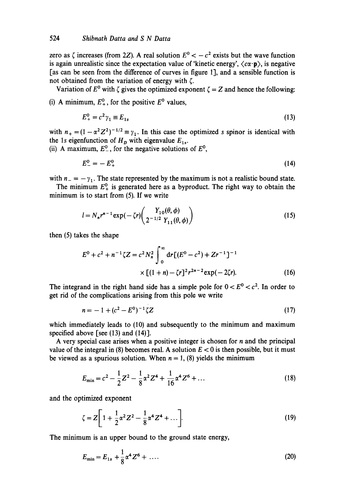zero as  $\zeta$  increases (from 2Z). A real solution  $E^0 < -c^2$  exists but the wave function is again unrealistic since the expectation value of 'kinetic energy',  $\langle c\alpha \cdot \mathbf{p} \rangle$ , is negative [as can be seen from the difference of curves in figure 1], and a sensible function is not obtained from the variation of energy with  $\zeta$ .

Variation of  $E^0$  with  $\zeta$  gives the optimized exponent  $\zeta = Z$  and hence the following:

(i) A minimum,  $E^0$ , for the positive  $E^0$  values,

$$
E_{+}^{0} = c_{\gamma_{1}}^{2} \equiv E_{1s} \tag{13}
$$

with  $n_{+} = (1 - \alpha^{2} Z^{2})^{-1/2} \equiv \gamma_{1}$ . In this case the optimized s spinor is identical with the 1s eigenfunction of  $H<sub>D</sub>$  with eigenvalue  $E<sub>1s</sub>$ .

(ii) A maximum,  $E^0$ , for the negative solutions of  $E^0$ ,

$$
E_{-}^{0} = -E_{+}^{0} \tag{14}
$$

with  $n_{-} = -\gamma_{1}$ . The state represented by the maximum is not a realistic bound state.

The minimum  $E_+^0$  is generated here as a byproduct. The right way to obtain the minimum is to start from (5). If we write

$$
l = N_n r^{n-1} \exp(-\zeta r) \left( \frac{Y_{10}(\theta, \phi)}{2^{-1/2} Y_{11}(\theta, \phi)} \right)
$$
 (15)

then (5) takes the shape

$$
E^{0} + c^{2} + n^{-1} \zeta Z = c^{2} N_{n}^{2} \int_{0}^{\infty} dr \left[ (E^{0} - c^{2}) + Zr^{-1} \right]^{-1}
$$

$$
\times \left[ (1 + n) - \zeta r \right]^{2} r^{2n - 2} \exp(-2\zeta r). \tag{16}
$$

The integrand in the right hand side has a simple pole for  $0 < E^{0} < c^{2}$ . In order to get rid of the complications arising from this pole we write

$$
n = -1 + (c^2 - E^0)^{-1} \zeta Z \tag{17}
$$

which immediately leads to (10) and subsequently to the minimum and maximum specified above [see (13) and (14)].

A very special case arises when a positive integer is chosen for n and the principal value of the integral in (8) becomes real. A solution  $E < 0$  is then possible, but it must be viewed as a spurious solution. When  $n = 1$ , (8) yields the minimum

$$
E_{\min} = c^2 - \frac{1}{2}Z^2 - \frac{1}{8}\alpha^2 Z^4 + \frac{1}{16}\alpha^4 Z^6 + \dots
$$
 (18)

and the optimized exponent

$$
\zeta = Z \bigg[ 1 + \frac{1}{2} \alpha^2 Z^2 - \frac{1}{8} \alpha^4 Z^4 + \dots \bigg].
$$
 (19)

The minimum is an upper bound to the ground state energy,

$$
E_{\min} = E_{1s} + \frac{1}{8} \alpha^4 Z^6 + \dots \tag{20}
$$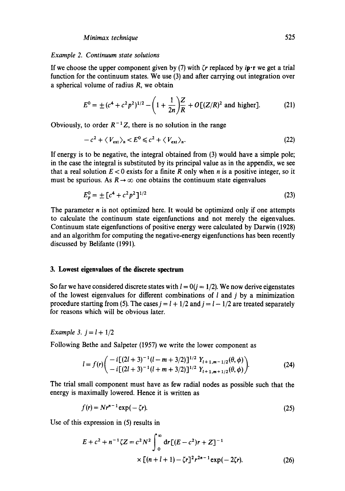#### *Example 2. Continuum state solutions*

If we choose the upper component given by (7) with  $\zeta r$  replaced by ip.r we get a trial function for the continuum states. We use (3) and after carrying out integration over a spherical volume of radius R, we obtain

$$
E^{0} = \pm (c^{4} + c^{2} p^{2})^{1/2} - \left(1 + \frac{1}{2n}\right) \frac{Z}{R} + O[(Z/R)^{2} \text{ and higher}].
$$
 (21)

Obviously, to order  $R^{-1}Z$ , there is no solution in the range

$$
-c^2 + \langle V_{\text{ext}} \rangle_h < E^0 \leq c^2 + \langle V_{\text{ext}} \rangle_n. \tag{22}
$$

If energy is to be negative, the integral obtained from (3) would have a simple pole; in the case the integral is substituted by its principal value as in the appendix, we see that a real solution  $E < 0$  exists for a finite R only when n is a positive integer, so it must be spurious. As  $R \rightarrow \infty$  one obtains the continuum state eigenvalues

$$
E_p^0 = \pm \left[ c^4 + c^2 p^2 \right]^{1/2} \tag{23}
$$

The parameter  $n$  is not optimized here. It would be optimized only if one attempts to calculate the continuum state eigenfunctions and not merely the eigenvalues. Continuum state eigenfunctions of positive energy were calculated by Darwin (1928) and an algorithm for computing the negative-energy eigenfunctions has been recently discussed by Belifante (1991).

# **3. Lowest eigenvalues of the discrete spectrum**

So far we have considered discrete states with  $l = 0(j = 1/2)$ . We now derive eigenstates of the lowest eigenvalues for different combinations of  $l$  and  $j$  by a minimization procedure starting from (5). The cases  $j = l + 1/2$  and  $j = l - 1/2$  are treated separately for reasons which will be obvious later.

*Example 3. j = l +* 1/2

Following Bethe and Salpeter (1957) we write the lower component as

$$
l = f(r) \left( \frac{-i[(2l+3)^{-1}(l-m+3/2)]^{1/2} Y_{l+1,m-1/2}(\theta,\phi)}{-i[(2l+3)^{-1}(l+m+3/2)]^{1/2} Y_{l+1,m+1/2}(\theta,\phi)} \right).
$$
(24)

The trial small component must have as few radial nodes as possible such that the energy is maximally lowered. Hence it is written as

$$
f(r) = Nr^{n-1} \exp(-\zeta r). \tag{25}
$$

Use of this expression in (5) results in

$$
E + c2 + n-1 \zeta Z = c2 N2 \int_0^{\infty} dr [(E - c2)r + Z]^{-1}
$$
  
× [(n + l + 1) - \zeta r]<sup>2</sup>r<sup>2n-1</sup> exp(-2\zeta r). (26)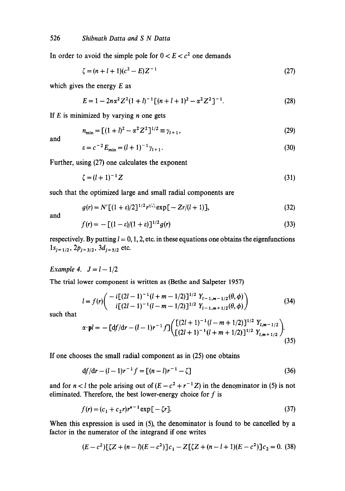In order to avoid the simple pole for  $0 < E < c<sup>2</sup>$  one demands

$$
\zeta = (n+l+1)(c^2 - E)Z^{-1} \tag{27}
$$

which gives the energy  $E$  as

$$
E = 1 - 2n\alpha^2 Z^2 (1+l)^{-1} [(n+l+1)^2 - \alpha^2 Z^2]^{-1}.
$$
 (28)

If  $E$  is minimized by varying  $n$  one gets

$$
n_{\min} = \left[ (1+l)^2 - \alpha^2 Z^2 \right]^{1/2} \equiv \gamma_{l+1},\tag{29}
$$

and

$$
\varepsilon = c^{-2} E_{\min} = (l+1)^{-1} \gamma_{l+1}.
$$
\n(30)

Further, using (27) one calculates the exponent

$$
\zeta = (l+1)^{-1}Z
$$
 (31)

such that the optimized large and small radial components are

$$
g(r) = N'[(1+\varepsilon)/2]^{1/2} r^{\gamma_{i+1}^{-1}} \exp[-Zr/(l+1)], \qquad (32)
$$

and

$$
f(r) = -\left[ (1 - \varepsilon)/(1 + \varepsilon) \right]^{1/2} g(r) \tag{33}
$$

respectively. By putting  $l = 0, 1, 2$ , etc. in these equations one obtains the eigenfunctions  $1s_{j=1/2}$ ,  $2p_{j=3/2}$ ,  $3d_{j=5/2}$  etc.

*Example 4.*  $J = l - 1/2$ 

The trial lower component is written as (Bethe and Salpeter 1957)

$$
l = f(r) \left( \frac{-i[(2l-1)^{-1}(l+m-1/2)]^{1/2} Y_{l-1,m-1/2}(\theta,\phi)}{i[(2l-1)^{-1}(l-m-1/2)]^{1/2} Y_{l-1,m+1/2}(\theta,\phi)} \right) \tag{34}
$$

such that

$$
\alpha \cdot \mathbf{p}l = -\left[\mathrm{d}f/\mathrm{d}r - (l-1)r^{-1}f\right] \left(\frac{\left[(2l+1)^{-1}(l-m+1/2)\right]^{1/2} Y_{l,m-1/2}}{\left[(2l+1)^{-1}(l+m+1/2)\right]^{1/2} Y_{l,m+1/2}}\right).
$$
\n(35)

If one chooses the small radial component as in (25) one obtains

$$
df/dr - (l - 1)r^{-1}f = [(n - l)r^{-1} - \zeta]
$$
\n(36)

and for  $n < l$  the pole arising out of  $(E - c^2 + r^{-1}Z)$  in the denominator in (5) is not eliminated. Therefore, the best lower-energy choice for  $f$  is

$$
f(r) = (c_1 + c_2 r)r^{n-1} \exp[-\zeta r].
$$
\n(37)

When this expression is used in (5), the denominator is found to be cancelled by a factor in the numerator of the integrand if one writes

$$
(E - c2)[\zeta Z + (n - l)(E - c2)]c1 - Z[\zeta Z + (n - l + 1)(E - c2)]c2 = 0. (38)
$$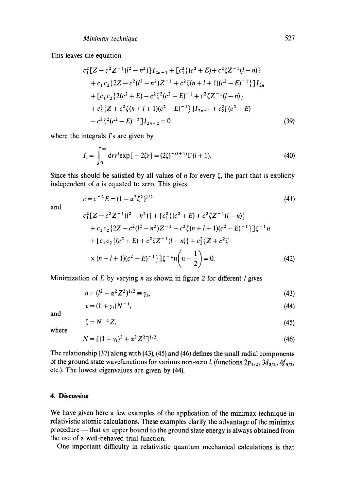This leaves the equation

$$
c_1^2[Z - c^2 Z^{-1}(l^2 - n^2)]I_{2n-1} + [c_1^2\{(c^2 + E) + c^2\zeta Z^{-1}(l - n)\}\
$$
  
+  $c_1c_2\{2Z - c^2(l^2 - n^2)Z^{-1} + c^2\zeta(n + l + 1)(c^2 - E)^{-1}\}]I_{2n}$   
+  $[c_1c_2\{2(c^2 + E) - c^2\zeta^2(c^2 - E)^{-1} + c^2\zeta Z^{-1}(l - n)\}\$   
+  $c_2^2\{Z + c^2\zeta(n + l + 1)(c^2 - E)^{-1}\}]I_{2n+1} + c_2^2[(c^2 + E)\$   
-  $c^2\zeta^2(c^2 - E)^{-1}]I_{2n+2} = 0$  (39)

where the integrals  $\Gamma$ 's are given by

$$
I_i = \int_0^\infty dr r^i \exp[-2\zeta r] = (2\zeta)^{-(i+1)} \Gamma(i+1). \tag{40}
$$

Since this should be satisfied by all values of *n* for every  $\zeta$ , the part that is explicity independent of  $n$  is equated to zero. This gives

$$
\varepsilon = c^{-2} E = (1 - \alpha^2 \zeta^2)^{1/2} \tag{41}
$$

and

$$
c_1^2[Z - c^2 Z^{-1}(l^2 - n^2)] + [c_1^2 \{(c^2 + E) + c^2 \zeta Z^{-1}(l - n)\}\
$$
  
+  $c_1 c_2 \{2Z - c^2(l^2 - n^2)Z^{-1} - c^2 \zeta(n + l + 1)(c^2 - E)^{-1}\}\}\zeta^{-1}n$   
+  $[c_1 c_2 \{(c^2 + E) + c^2 \zeta Z^{-1}(l - n)\} + c_2^2 \{Z + c^2 \zeta$   
 $\times (n + l + 1)(c^2 - E)^{-1}\}\zeta^{-2}n\left(n + \frac{1}{2}\right) = 0.$  (42)

Minimization of  $E$  by varying  $n$  as shown in figure 2 for different  $l$  gives

$$
n = (l^2 - \alpha^2 Z^2)^{1/2} \equiv \gamma_l,\tag{43}
$$

$$
\varepsilon = (1 + \gamma_t) N^{-1},\tag{44}
$$

and

$$
=N^{-1}Z,\t\t(45)
$$

where

 $\zeta$ 

$$
N = \left[ (1 + \gamma_l)^2 + \alpha^2 Z^2 \right]^{1/2}.
$$
 (46)

The relationship (37) along with (43), (45) and (46) defines the small radial components of the ground state wavefunctions for various non-zero *l*, (functions  $2p_{1/2}$ ,  $3d_{3/2}$ ,  $4f_{5/2}$ , etc.). The lowest eigenvalues are given by (44).

### **4. Discussion**

We have given here a few examples of the application of the minimax technique in relativistic atomic calculations. These examples clarify the advantage of the minimax procedure -- that an upper bound to the ground state energy is always obtained from the use of a well-behaved trial function.

One important difficulty in relativistic quantum mechanical calculations is that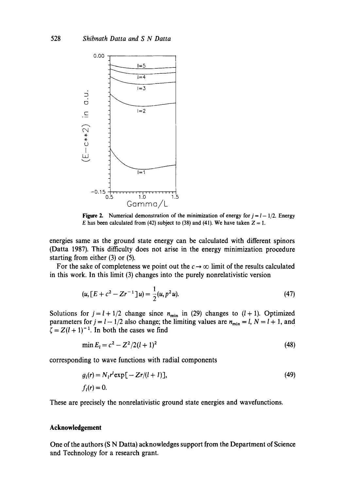

Figure 2. Numerical demonstration of the minimization of energy for  $j = l - 1/2$ . Energy E has been calculated from (42) subject to (38) and (41). We have taken  $Z = 1$ .

energies same as the ground state energy can be calculated with different spinors (Datta 1987). This difficulty does not arise in the energy minimization procedure starting from either  $(3)$  or  $(5)$ .

For the sake of completeness we point out the  $c \rightarrow \infty$  limit of the results calculated in this work. In this limit (3) changes into the purely nonrelativistic version

$$
(u, [E + c2 - Zr-1]u) = \frac{1}{2}(u, p2u).
$$
 (47)

Solutions for  $j = l + 1/2$  change since  $n_{\min}$  in (29) changes to (l + 1). Optimized parameters for  $j = l - 1/2$  also change; the limiting values are  $n_{\min} = l$ ,  $N = l + 1$ , and  $\zeta = Z(l + 1)^{-1}$ . In both the cases we find

$$
\min E_l = c^2 - Z^2/2(l+1)^2 \tag{48}
$$

corresponding to wave functions with radial components

$$
g_i(r) = N_1 r^l \exp[-Zr/(l+1)],
$$
  
\n
$$
f_i(r) = 0.
$$
\n(49)

These are precisely the nonrelativistic ground state energies and wavefunctions.

### **Acknowledgement**

One of the authors (S N Datta) acknowledges support from the Department of Science and Technology for a research grant.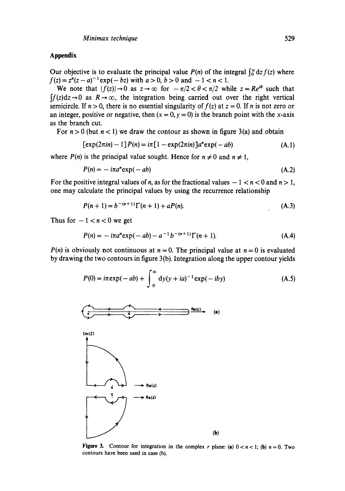# **Appendix**

Our objective is to evaluate the principal value  $P(n)$  of the integral  $\int_0^\infty dz f(z)$  where  $f(z) = z^{n}(z - a)^{-1} \exp(-bz)$  with  $a > 0$ ,  $b > 0$  and  $-1 < n < 1$ .

We note that  $|f(z)| \rightarrow 0$  as  $z \rightarrow \infty$  for  $-\pi/2 < \theta < \pi/2$  while  $z = Re^{i\theta}$  such that  $\int f(z) dz \rightarrow 0$  as  $R \rightarrow \infty$ , the integration being carried out over the right vertical semicircle. If  $n > 0$ , there is no essential singularity of  $f(z)$  at  $z = 0$ . If n is not zero or an integer, positive or negative, then  $(x = 0, y = 0)$  is the branch point with the x-axis as the branch cut.

For  $n > 0$  (but  $n < 1$ ) we draw the contour as shown in figure 3(a) and obtain

$$
[exp(2\pi in) - 1]P(n) = i\pi [1 - exp(2\pi in)]a^{n}exp(-ab)
$$
\n(A.1)

where  $P(n)$  is the principal value sought. Hence for  $n \neq 0$  and  $n \neq 1$ ,

$$
P(n) = -i\pi a^n \exp(-ab) \tag{A.2}
$$

For the positive integral values of *n*, as for the fractional values  $-1 < n < 0$  and  $n > 1$ , one may calculate the principal values by using the recurrence relationship

$$
P(n+1) = b^{-(n+1)} \Gamma(n+1) + aP(n).
$$
 (A.3)

Thus for  $-1 < n < 0$  we get

$$
P(n) = -i\pi a^{n} \exp(-ab) - a^{-1} b^{-(n+1)} \Gamma(n+1).
$$
 (A.4)

*P(n)* is obviously not continuous at  $n = 0$ . The principal value at  $n = 0$  is evaluated by drawing the two contours in figure 3 (b). Integration along the upper contour yields

$$
P(0) = i\pi \exp(-ab) + \int_0^\infty dy (y + ia)^{-1} \exp(-iby)
$$
 (A.5)



**Figure 3.** Contour for integration in the complex r plane: (a)  $0 < n < 1$ ; (b)  $n = 0$ . Two contours have been used in case (b).